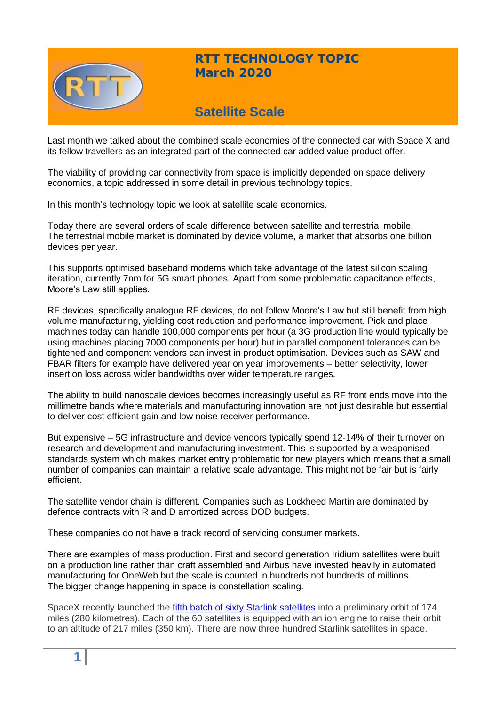

# **RTT TECHNOLOGY TOPIC March 2020**

# **Satellite Scale**

Last month we talked about the combined scale economies of the connected car with Space X and its fellow travellers as an integrated part of the connected car added value product offer.

The viability of providing car connectivity from space is implicitly depended on space delivery economics, a topic addressed in some detail in previous technology topics.

In this month's technology topic we look at satellite scale economics.

Today there are several orders of scale difference between satellite and terrestrial mobile. The terrestrial mobile market is dominated by device volume, a market that absorbs one billion devices per year.

This supports optimised baseband modems which take advantage of the latest silicon scaling iteration, currently 7nm for 5G smart phones. Apart from some problematic capacitance effects, Moore's Law still applies.

RF devices, specifically analogue RF devices, do not follow Moore's Law but still benefit from high volume manufacturing, yielding cost reduction and performance improvement. Pick and place machines today can handle 100,000 components per hour (a 3G production line would typically be using machines placing 7000 components per hour) but in parallel component tolerances can be tightened and component vendors can invest in product optimisation. Devices such as SAW and FBAR filters for example have delivered year on year improvements – better selectivity, lower insertion loss across wider bandwidths over wider temperature ranges.

The ability to build nanoscale devices becomes increasingly useful as RF front ends move into the millimetre bands where materials and manufacturing innovation are not just desirable but essential to deliver cost efficient gain and low noise receiver performance.

But expensive – 5G infrastructure and device vendors typically spend 12-14% of their turnover on research and development and manufacturing investment. This is supported by a weaponised standards system which makes market entry problematic for new players which means that a small number of companies can maintain a relative scale advantage. This might not be fair but is fairly efficient.

The satellite vendor chain is different. Companies such as Lockheed Martin are dominated by defence contracts with R and D amortized across DOD budgets.

These companies do not have a track record of servicing consumer markets.

There are examples of mass production. First and second generation Iridium satellites were built on a production line rather than craft assembled and Airbus have invested heavily in automated manufacturing for OneWeb but the scale is counted in hundreds not hundreds of millions. The bigger change happening in space is constellation scaling.

SpaceX recently launched the fifth [batch of sixty Starlink satellites](https://www.space.com/spacex-starlink-4-launch-success-misses-rocket-landing.html) into a preliminary orbit of 174 miles (280 kilometres). Each of the 60 satellites is equipped with an ion engine to raise their orbit to an altitude of 217 miles (350 km). There are now three hundred Starlink satellites in space.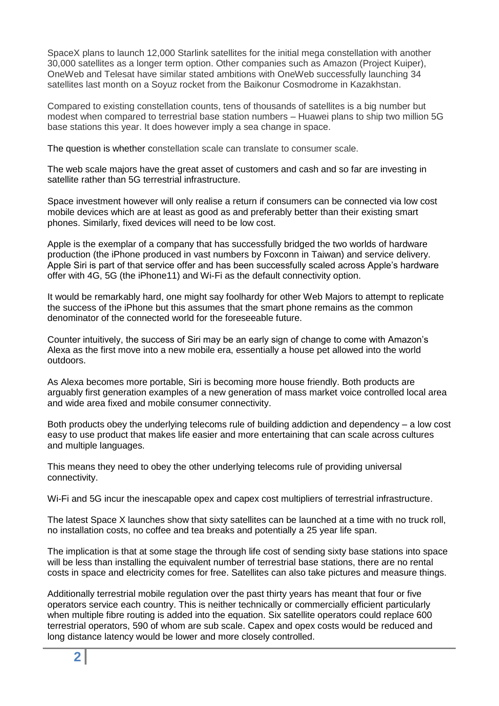SpaceX plans to launch 12,000 Starlink satellites for the initial mega constellation with another 30,000 satellites as a longer term option. Other companies such as Amazon (Project Kuiper), OneWeb and Telesat have similar stated ambitions with OneWeb successfully launching 34 satellites last month on a Soyuz rocket from the Baikonur Cosmodrome in Kazakhstan.

Compared to existing constellation counts, tens of thousands of satellites is a big number but modest when compared to terrestrial base station numbers – Huawei plans to ship two million 5G base stations this year. It does however imply a sea change in space.

The question is whether constellation scale can translate to consumer scale.

The web scale majors have the great asset of customers and cash and so far are investing in satellite rather than 5G terrestrial infrastructure.

Space investment however will only realise a return if consumers can be connected via low cost mobile devices which are at least as good as and preferably better than their existing smart phones. Similarly, fixed devices will need to be low cost.

Apple is the exemplar of a company that has successfully bridged the two worlds of hardware production (the iPhone produced in vast numbers by Foxconn in Taiwan) and service delivery. Apple Siri is part of that service offer and has been successfully scaled across Apple's hardware offer with 4G, 5G (the iPhone11) and Wi-Fi as the default connectivity option.

It would be remarkably hard, one might say foolhardy for other Web Majors to attempt to replicate the success of the iPhone but this assumes that the smart phone remains as the common denominator of the connected world for the foreseeable future.

Counter intuitively, the success of Siri may be an early sign of change to come with Amazon's Alexa as the first move into a new mobile era, essentially a house pet allowed into the world outdoors.

As Alexa becomes more portable, Siri is becoming more house friendly. Both products are arguably first generation examples of a new generation of mass market voice controlled local area and wide area fixed and mobile consumer connectivity.

Both products obey the underlying telecoms rule of building addiction and dependency – a low cost easy to use product that makes life easier and more entertaining that can scale across cultures and multiple languages.

This means they need to obey the other underlying telecoms rule of providing universal connectivity.

Wi-Fi and 5G incur the inescapable opex and capex cost multipliers of terrestrial infrastructure.

The latest Space X launches show that sixty satellites can be launched at a time with no truck roll, no installation costs, no coffee and tea breaks and potentially a 25 year life span.

The implication is that at some stage the through life cost of sending sixty base stations into space will be less than installing the equivalent number of terrestrial base stations, there are no rental costs in space and electricity comes for free. Satellites can also take pictures and measure things.

Additionally terrestrial mobile regulation over the past thirty years has meant that four or five operators service each country. This is neither technically or commercially efficient particularly when multiple fibre routing is added into the equation. Six satellite operators could replace 600 terrestrial operators, 590 of whom are sub scale. Capex and opex costs would be reduced and long distance latency would be lower and more closely controlled.